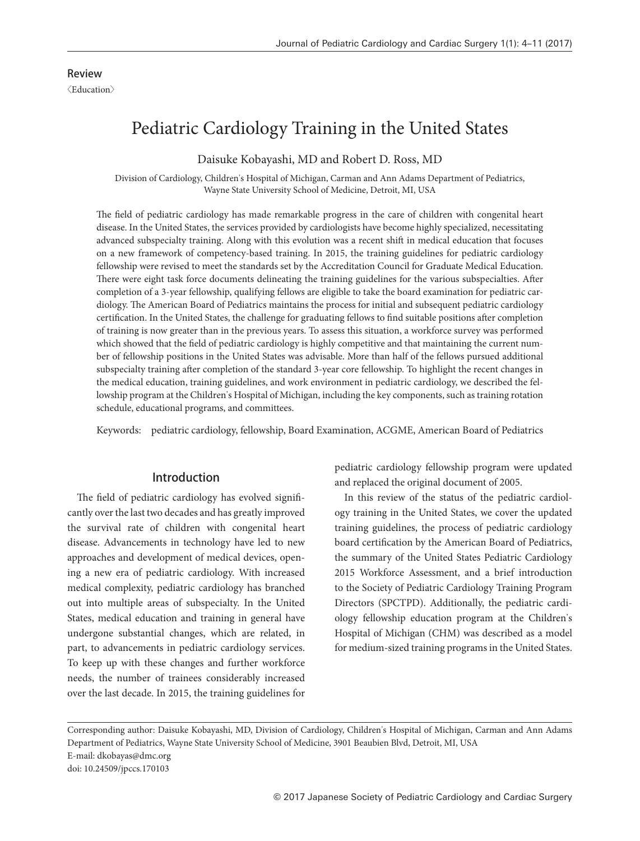# Pediatric Cardiology Training in the United States

Daisuke Kobayashi, MD and Robert D. Ross, MD

Division of Cardiology, Children's Hospital of Michigan, Carman and Ann Adams Department of Pediatrics, Wayne State University School of Medicine, Detroit, MI, USA

The field of pediatric cardiology has made remarkable progress in the care of children with congenital heart disease. In the United States, the services provided by cardiologists have become highly specialized, necessitating advanced subspecialty training. Along with this evolution was a recent shift in medical education that focuses on a new framework of competency-based training. In 2015, the training guidelines for pediatric cardiology fellowship were revised to meet the standards set by the Accreditation Council for Graduate Medical Education. There were eight task force documents delineating the training guidelines for the various subspecialties. After completion of a 3-year fellowship, qualifying fellows are eligible to take the board examination for pediatric cardiology. The American Board of Pediatrics maintains the process for initial and subsequent pediatric cardiology certification. In the United States, the challenge for graduating fellows to find suitable positions after completion of training is now greater than in the previous years. To assess this situation, a workforce survey was performed which showed that the field of pediatric cardiology is highly competitive and that maintaining the current number of fellowship positions in the United States was advisable. More than half of the fellows pursued additional subspecialty training after completion of the standard 3-year core fellowship. To highlight the recent changes in the medical education, training guidelines, and work environment in pediatric cardiology, we described the fellowship program at the Children's Hospital of Michigan, including the key components, such as training rotation schedule, educational programs, and committees.

Keywords: pediatric cardiology, fellowship, Board Examination, ACGME, American Board of Pediatrics

# Introduction

The field of pediatric cardiology has evolved significantly over the last two decades and has greatly improved the survival rate of children with congenital heart disease. Advancements in technology have led to new approaches and development of medical devices, opening a new era of pediatric cardiology. With increased medical complexity, pediatric cardiology has branched out into multiple areas of subspecialty. In the United States, medical education and training in general have undergone substantial changes, which are related, in part, to advancements in pediatric cardiology services. To keep up with these changes and further workforce needs, the number of trainees considerably increased over the last decade. In 2015, the training guidelines for pediatric cardiology fellowship program were updated and replaced the original document of 2005.

In this review of the status of the pediatric cardiology training in the United States, we cover the updated training guidelines, the process of pediatric cardiology board certification by the American Board of Pediatrics, the summary of the United States Pediatric Cardiology 2015 Workforce Assessment, and a brief introduction to the Society of Pediatric Cardiology Training Program Directors (SPCTPD). Additionally, the pediatric cardiology fellowship education program at the Children's Hospital of Michigan (CHM) was described as a model for medium-sized training programs in the United States.

Corresponding author: Daisuke Kobayashi, MD, Division of Cardiology, Children's Hospital of Michigan, Carman and Ann Adams Department of Pediatrics, Wayne State University School of Medicine, 3901 Beaubien Blvd, Detroit, MI, USA E-mail: dkobayas@dmc.org doi: 10.24509/jpccs.170103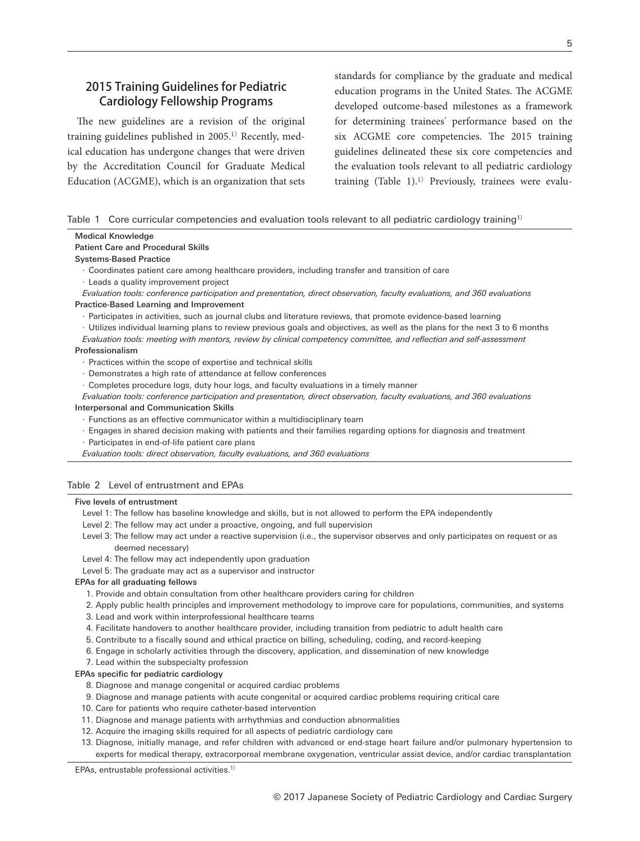# 2015 Training Guidelines for Pediatric Cardiology Fellowship Programs

The new guidelines are a revision of the original training guidelines published in  $2005$ .<sup>1)</sup> Recently, medical education has undergone changes that were driven by the Accreditation Council for Graduate Medical Education (ACGME), which is an organization that sets standards for compliance by the graduate and medical education programs in the United States. The ACGME developed outcome-based milestones as a framework for determining trainees' performance based on the six ACGME core competencies. The 2015 training guidelines delineated these six core competencies and the evaluation tools relevant to all pediatric cardiology training  $(Table 1).<sup>1</sup>$  Previously, trainees were evalu-

|  | Table 1 Core curricular competencies and evaluation tools relevant to all pediatric cardiology training <sup>1)</sup> |  |  |  |  |
|--|-----------------------------------------------------------------------------------------------------------------------|--|--|--|--|
|  |                                                                                                                       |  |  |  |  |

| <b>Medical Knowledge</b>                                                                                                    |
|-----------------------------------------------------------------------------------------------------------------------------|
| <b>Patient Care and Procedural Skills</b>                                                                                   |
| <b>Systems-Based Practice</b>                                                                                               |
| $\cdot$ Coordinates patient care among healthcare providers, including transfer and transition of care                      |
| · Leads a quality improvement project                                                                                       |
| Evaluation tools: conference participation and presentation, direct observation, faculty evaluations, and 360 evaluations   |
| Practice-Based Learning and Improvement                                                                                     |
| · Participates in activities, such as journal clubs and literature reviews, that promote evidence-based learning            |
| Utilizes individual learning plans to review previous goals and objectives, as well as the plans for the next 3 to 6 months |
| Evaluation tools: meeting with mentors, review by clinical competency committee, and reflection and self-assessment         |
| Professionalism                                                                                                             |
| Practices within the scope of expertise and technical skills                                                                |
| · Demonstrates a high rate of attendance at fellow conferences                                                              |
| Completes procedure logs, duty hour logs, and faculty evaluations in a timely manner                                        |
| Evaluation tools: conference participation and presentation, direct observation, faculty evaluations, and 360 evaluations   |
| <b>Interpersonal and Communication Skills</b>                                                                               |
| Eunctions as an effective communicator within a multidisciplinary team                                                      |
| Engages in shared decision making with patients and their families regarding options for diagnosis and treatment            |

- 
- Participates in end-of-life patient care plans

*Evaluation tools: direct observation, faculty evaluations, and 360 evaluations*

## Table 2 Level of entrustment and EPAs

#### Five levels of entrustment

- Level 1: The fellow has baseline knowledge and skills, but is not allowed to perform the EPA independently
- Level 2: The fellow may act under a proactive, ongoing, and full supervision
- Level 3: The fellow may act under a reactive supervision (i.e., the supervisor observes and only participates on request or as deemed necessary)
- Level 4: The fellow may act independently upon graduation
- Level 5: The graduate may act as a supervisor and instructor

#### EPAs for all graduating fellows

- 1. Provide and obtain consultation from other healthcare providers caring for children
- 2. Apply public health principles and improvement methodology to improve care for populations, communities, and systems
- 3. Lead and work within interprofessional healthcare teams
- 4. Facilitate handovers to another healthcare provider, including transition from pediatric to adult health care
- 5. Contribute to a fiscally sound and ethical practice on billing, scheduling, coding, and record-keeping
- 6. Engage in scholarly activities through the discovery, application, and dissemination of new knowledge
- 7. Lead within the subspecialty profession

### EPAs specific for pediatric cardiology

- 8. Diagnose and manage congenital or acquired cardiac problems
- 9. Diagnose and manage patients with acute congenital or acquired cardiac problems requiring critical care
- 10. Care for patients who require catheter-based intervention
- 11. Diagnose and manage patients with arrhythmias and conduction abnormalities
- 12. Acquire the imaging skills required for all aspects of pediatric cardiology care
- 13. Diagnose, initially manage, and refer children with advanced or end-stage heart failure and/or pulmonary hypertension to experts for medical therapy, extracorporeal membrane oxygenation, ventricular assist device, and/or cardiac transplantation

EPAs, entrustable professional activities.1)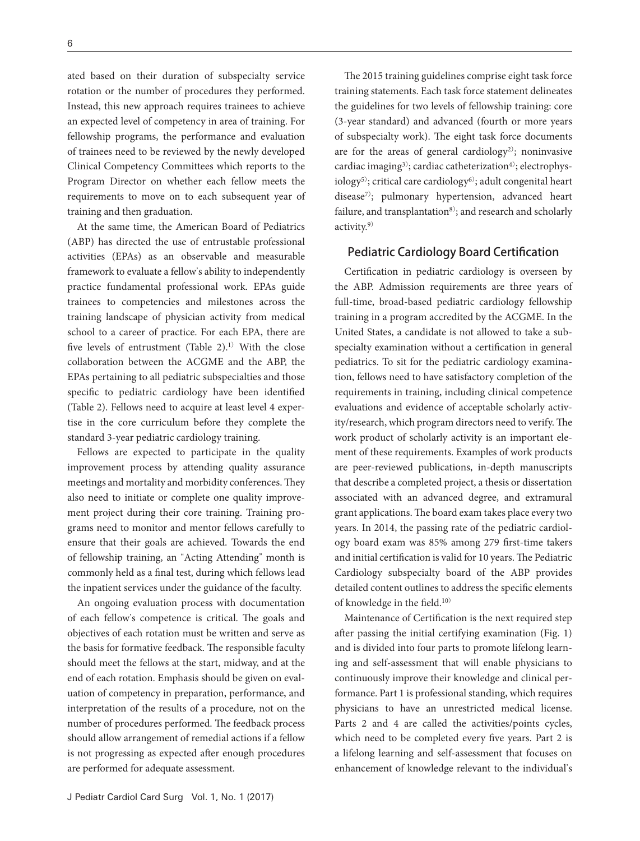ated based on their duration of subspecialty service rotation or the number of procedures they performed. Instead, this new approach requires trainees to achieve an expected level of competency in area of training. For fellowship programs, the performance and evaluation of trainees need to be reviewed by the newly developed Clinical Competency Committees which reports to the Program Director on whether each fellow meets the requirements to move on to each subsequent year of training and then graduation.

At the same time, the American Board of Pediatrics (ABP) has directed the use of entrustable professional activities (EPAs) as an observable and measurable framework to evaluate a fellow's ability to independently practice fundamental professional work. EPAs guide trainees to competencies and milestones across the training landscape of physician activity from medical school to a career of practice. For each EPA, there are five levels of entrustment (Table 2).<sup>1)</sup> With the close collaboration between the ACGME and the ABP, the EPAs pertaining to all pediatric subspecialties and those specific to pediatric cardiology have been identified (Table 2). Fellows need to acquire at least level 4 expertise in the core curriculum before they complete the standard 3-year pediatric cardiology training.

Fellows are expected to participate in the quality improvement process by attending quality assurance meetings and mortality and morbidity conferences. They also need to initiate or complete one quality improvement project during their core training. Training programs need to monitor and mentor fellows carefully to ensure that their goals are achieved. Towards the end of fellowship training, an "Acting Attending" month is commonly held as a final test, during which fellows lead the inpatient services under the guidance of the faculty.

An ongoing evaluation process with documentation of each fellow's competence is critical. The goals and objectives of each rotation must be written and serve as the basis for formative feedback. The responsible faculty should meet the fellows at the start, midway, and at the end of each rotation. Emphasis should be given on evaluation of competency in preparation, performance, and interpretation of the results of a procedure, not on the number of procedures performed. The feedback process should allow arrangement of remedial actions if a fellow is not progressing as expected after enough procedures are performed for adequate assessment.

The 2015 training guidelines comprise eight task force training statements. Each task force statement delineates the guidelines for two levels of fellowship training: core (3-year standard) and advanced (fourth or more years of subspecialty work). The eight task force documents are for the areas of general cardiology<sup>2)</sup>; noninvasive cardiac imaging<sup>3)</sup>; cardiac catheterization<sup>4)</sup>; electrophys $i\text{ology}^{5}$ ; critical care cardiology<sup>6</sup>; adult congenital heart disease<sup>7)</sup>; pulmonary hypertension, advanced heart failure, and transplantation<sup>8)</sup>; and research and scholarly activity.9)

## Pediatric Cardiology Board Certification

Certification in pediatric cardiology is overseen by the ABP. Admission requirements are three years of full-time, broad-based pediatric cardiology fellowship training in a program accredited by the ACGME. In the United States, a candidate is not allowed to take a subspecialty examination without a certification in general pediatrics. To sit for the pediatric cardiology examination, fellows need to have satisfactory completion of the requirements in training, including clinical competence evaluations and evidence of acceptable scholarly activity/research, which program directors need to verify. The work product of scholarly activity is an important element of these requirements. Examples of work products are peer-reviewed publications, in-depth manuscripts that describe a completed project, a thesis or dissertation associated with an advanced degree, and extramural grant applications. The board exam takes place every two years. In 2014, the passing rate of the pediatric cardiology board exam was 85% among 279 first-time takers and initial certification is valid for 10 years. The Pediatric Cardiology subspecialty board of the ABP provides detailed content outlines to address the specific elements of knowledge in the field.10)

Maintenance of Certification is the next required step after passing the initial certifying examination (Fig. 1) and is divided into four parts to promote lifelong learning and self-assessment that will enable physicians to continuously improve their knowledge and clinical performance. Part 1 is professional standing, which requires physicians to have an unrestricted medical license. Parts 2 and 4 are called the activities/points cycles, which need to be completed every five years. Part 2 is a lifelong learning and self-assessment that focuses on enhancement of knowledge relevant to the individual's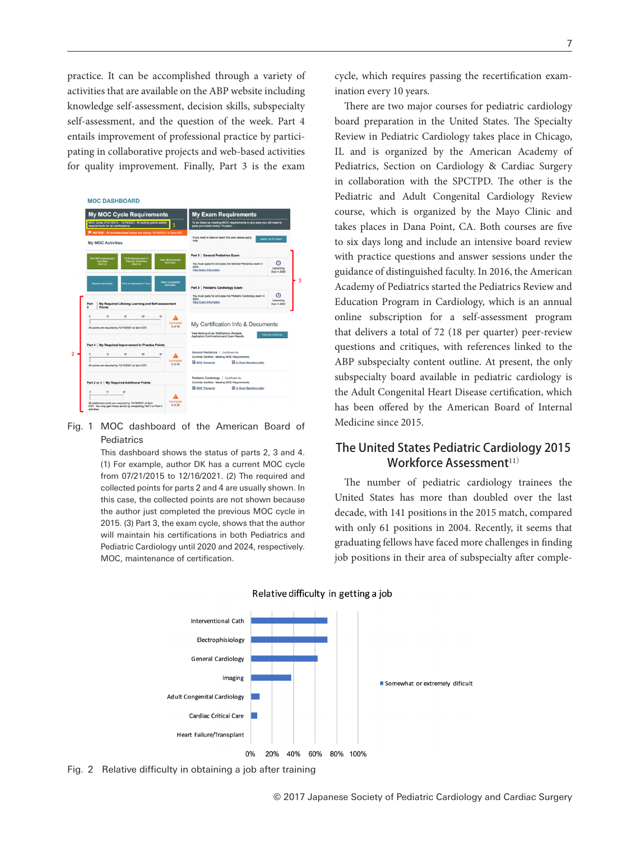practice. It can be accomplished through a variety of activities that are available on the ABP website including knowledge self-assessment, decision skills, subspecialty self-assessment, and the question of the week. Part 4 entails improvement of professional practice by participating in collaborative projects and web-based activities for quality improvement. Finally, Part 3 is the exam



## Fig. 1 MOC dashboard of the American Board of **Pediatrics**

This dashboard shows the status of parts 2, 3 and 4. (1) For example, author DK has a current MOC cycle from 07/21/2015 to 12/16/2021. (2) The required and collected points for parts 2 and 4 are usually shown. In this case, the collected points are not shown because the author just completed the previous MOC cycle in 2015. (3) Part 3, the exam cycle, shows that the author will maintain his certifications in both Pediatrics and Pediatric Cardiology until 2020 and 2024, respectively. MOC, maintenance of certification.

cycle, which requires passing the recertification examination every 10 years.

There are two major courses for pediatric cardiology board preparation in the United States. The Specialty Review in Pediatric Cardiology takes place in Chicago, IL and is organized by the American Academy of Pediatrics, Section on Cardiology & Cardiac Surgery in collaboration with the SPCTPD. The other is the Pediatric and Adult Congenital Cardiology Review course, which is organized by the Mayo Clinic and takes places in Dana Point, CA. Both courses are five to six days long and include an intensive board review with practice questions and answer sessions under the guidance of distinguished faculty. In 2016, the American Academy of Pediatrics started the Pediatrics Review and Education Program in Cardiology, which is an annual online subscription for a self-assessment program that delivers a total of 72 (18 per quarter) peer-review questions and critiques, with references linked to the ABP subspecialty content outline. At present, the only subspecialty board available in pediatric cardiology is the Adult Congenital Heart Disease certification, which has been offered by the American Board of Internal Medicine since 2015.

# The United States Pediatric Cardiology 2015 Workforce Assessment<sup>11)</sup>

The number of pediatric cardiology trainees the United States has more than doubled over the last decade, with 141 positions in the 2015 match, compared with only 61 positions in 2004. Recently, it seems that graduating fellows have faced more challenges in finding job positions in their area of subspecialty after comple-



### Relative difficulty in getting a job

<u>7 anisotropia (m. 1888).</u><br>1

Fig. 2 Relative difficulty in obtaining a job after training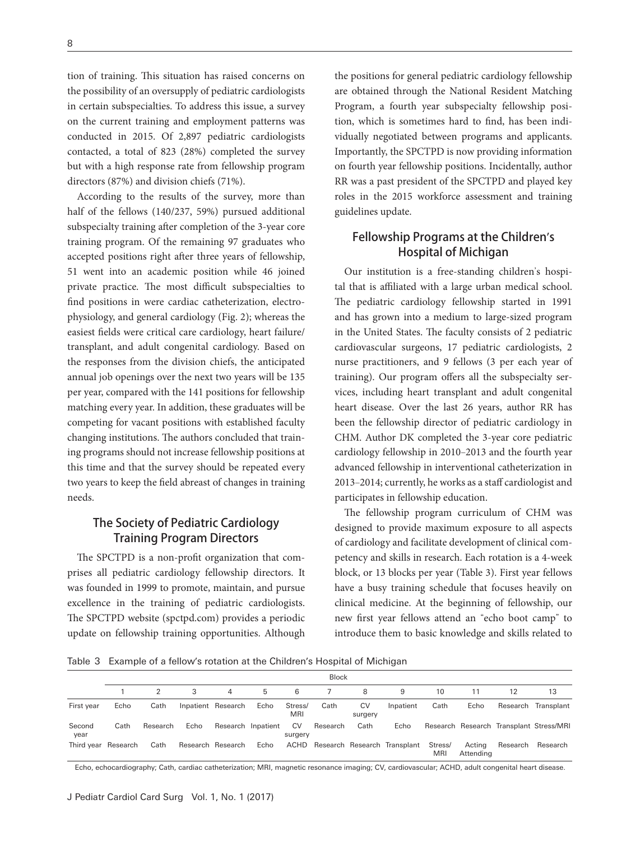tion of training. This situation has raised concerns on the possibility of an oversupply of pediatric cardiologists in certain subspecialties. To address this issue, a survey on the current training and employment patterns was conducted in 2015. Of 2,897 pediatric cardiologists contacted, a total of 823 (28%) completed the survey but with a high response rate from fellowship program directors (87%) and division chiefs (71%).

According to the results of the survey, more than half of the fellows (140/237, 59%) pursued additional subspecialty training after completion of the 3-year core training program. Of the remaining 97 graduates who accepted positions right after three years of fellowship, 51 went into an academic position while 46 joined private practice. The most difficult subspecialties to find positions in were cardiac catheterization, electrophysiology, and general cardiology (Fig. 2); whereas the easiest fields were critical care cardiology, heart failure/ transplant, and adult congenital cardiology. Based on the responses from the division chiefs, the anticipated annual job openings over the next two years will be 135 per year, compared with the 141 positions for fellowship matching every year. In addition, these graduates will be competing for vacant positions with established faculty changing institutions. The authors concluded that training programs should not increase fellowship positions at this time and that the survey should be repeated every two years to keep the field abreast of changes in training needs.

# The Society of Pediatric Cardiology Training Program Directors

The SPCTPD is a non-profit organization that comprises all pediatric cardiology fellowship directors. It was founded in 1999 to promote, maintain, and pursue excellence in the training of pediatric cardiologists. The SPCTPD website (spctpd.com) provides a periodic update on fellowship training opportunities. Although the positions for general pediatric cardiology fellowship are obtained through the National Resident Matching Program, a fourth year subspecialty fellowship position, which is sometimes hard to find, has been individually negotiated between programs and applicants. Importantly, the SPCTPD is now providing information on fourth year fellowship positions. Incidentally, author RR was a past president of the SPCTPD and played key roles in the 2015 workforce assessment and training guidelines update.

# Fellowship Programs at the Children's Hospital of Michigan

Our institution is a free-standing children's hospital that is affiliated with a large urban medical school. The pediatric cardiology fellowship started in 1991 and has grown into a medium to large-sized program in the United States. The faculty consists of 2 pediatric cardiovascular surgeons, 17 pediatric cardiologists, 2 nurse practitioners, and 9 fellows (3 per each year of training). Our program offers all the subspecialty services, including heart transplant and adult congenital heart disease. Over the last 26 years, author RR has been the fellowship director of pediatric cardiology in CHM. Author DK completed the 3-year core pediatric cardiology fellowship in 2010-2013 and the fourth year advanced fellowship in interventional catheterization in 2013‒2014; currently, he works as a staff cardiologist and participates in fellowship education.

The fellowship program curriculum of CHM was designed to provide maximum exposure to all aspects of cardiology and facilitate development of clinical competency and skills in research. Each rotation is a 4-week block, or 13 blocks per year (Table 3). First year fellows have a busy training schedule that focuses heavily on clinical medicine. At the beginning of fellowship, our new first year fellows attend an "echo boot camp" to introduce them to basic knowledge and skills related to

Table 3 Example of a fellow's rotation at the Children's Hospital of Michigan

|                     | <b>Block</b> |          |      |                    |      |                |          |               |                                   |                       |                     |                                         |                     |
|---------------------|--------------|----------|------|--------------------|------|----------------|----------|---------------|-----------------------------------|-----------------------|---------------------|-----------------------------------------|---------------------|
|                     |              |          | 3    | 4                  | 5    | 6              |          | 8             |                                   | 10                    |                     | 12                                      | 13                  |
| First year          | Echo         | Cath     |      | Inpatient Research | Echo | Stress/<br>MRI | Cath     | CV<br>surgery | Inpatient                         | Cath                  | Echo                |                                         | Research Transplant |
| Second<br>year      | Cath         | Research | Echo | Research Inpatient |      | CV<br>surgery  | Research | Cath          | Echo                              |                       |                     | Research Research Transplant Stress/MRI |                     |
| Third year Research |              | Cath     |      | Research Research  | Echo |                |          |               | ACHD Research Research Transplant | Stress/<br><b>MRI</b> | Acting<br>Attending | Research                                | Research            |

Echo, echocardiography; Cath, cardiac catheterization; MRI, magnetic resonance imaging; CV, cardiovascular; ACHD, adult congenital heart disease.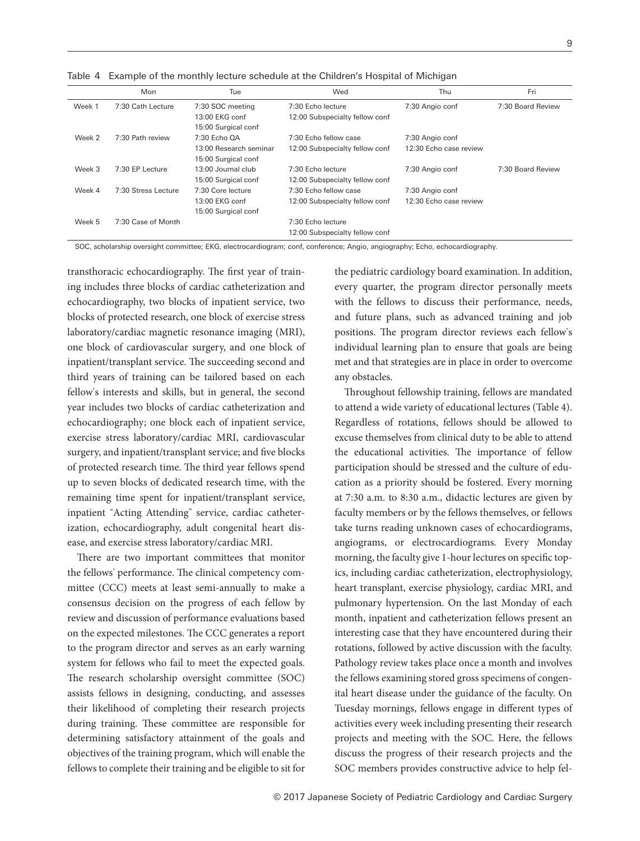|        | Mon                 | Tue                    | Wed                            | Thu                    | Fri               |
|--------|---------------------|------------------------|--------------------------------|------------------------|-------------------|
| Week 1 | 7:30 Cath Lecture   | 7:30 SOC meeting       | 7:30 Echo lecture              | 7:30 Angio conf        | 7:30 Board Review |
|        |                     | 13:00 EKG conf         | 12:00 Subspecialty fellow conf |                        |                   |
|        |                     | 15:00 Surgical conf    |                                |                        |                   |
| Week 2 | 7:30 Path review    | 7:30 Echo OA           | 7:30 Echo fellow case          | 7:30 Angio conf        |                   |
|        |                     | 13:00 Research seminar | 12:00 Subspecialty fellow conf | 12:30 Echo case review |                   |
|        |                     | 15:00 Surgical conf    |                                |                        |                   |
| Week 3 | 7:30 EP Lecture     | 13:00 Journal club     | 7:30 Echo lecture              | 7:30 Angio conf        | 7:30 Board Review |
|        |                     | 15:00 Surgical conf    | 12:00 Subspecialty fellow conf |                        |                   |
| Week 4 | 7:30 Stress Lecture | 7:30 Core lecture      | 7:30 Echo fellow case          | 7:30 Angio conf        |                   |
|        |                     | 13:00 EKG conf         | 12:00 Subspecialty fellow conf | 12:30 Echo case review |                   |
|        |                     | 15:00 Surgical conf    |                                |                        |                   |
| Week 5 | 7:30 Case of Month  |                        | 7:30 Echo lecture              |                        |                   |
|        |                     |                        | 12:00 Subspecialty fellow conf |                        |                   |

SOC, scholarship oversight committee; EKG, electrocardiogram; conf, conference; Angio, angiography; Echo, echocardiography.

Table 4 Example of the monthly lecture schedule at the Children's Hospital of Michigan

transthoracic echocardiography. The first year of training includes three blocks of cardiac catheterization and echocardiography, two blocks of inpatient service, two blocks of protected research, one block of exercise stress laboratory/cardiac magnetic resonance imaging (MRI), one block of cardiovascular surgery, and one block of inpatient/transplant service. The succeeding second and third years of training can be tailored based on each fellow's interests and skills, but in general, the second year includes two blocks of cardiac catheterization and echocardiography; one block each of inpatient service, exercise stress laboratory/cardiac MRI, cardiovascular surgery, and inpatient/transplant service; and five blocks of protected research time. The third year fellows spend up to seven blocks of dedicated research time, with the remaining time spent for inpatient/transplant service, inpatient "Acting Attending" service, cardiac catheterization, echocardiography, adult congenital heart disease, and exercise stress laboratory/cardiac MRI.

There are two important committees that monitor the fellows' performance. The clinical competency committee (CCC) meets at least semi-annually to make a consensus decision on the progress of each fellow by review and discussion of performance evaluations based on the expected milestones. The CCC generates a report to the program director and serves as an early warning system for fellows who fail to meet the expected goals. The research scholarship oversight committee (SOC) assists fellows in designing, conducting, and assesses their likelihood of completing their research projects during training. These committee are responsible for determining satisfactory attainment of the goals and objectives of the training program, which will enable the fellows to complete their training and be eligible to sit for the pediatric cardiology board examination. In addition, every quarter, the program director personally meets with the fellows to discuss their performance, needs, and future plans, such as advanced training and job positions. The program director reviews each fellow's individual learning plan to ensure that goals are being met and that strategies are in place in order to overcome any obstacles.

Throughout fellowship training, fellows are mandated to attend a wide variety of educational lectures (Table 4). Regardless of rotations, fellows should be allowed to excuse themselves from clinical duty to be able to attend the educational activities. The importance of fellow participation should be stressed and the culture of education as a priority should be fostered. Every morning at 7:30 a.m. to 8:30 a.m., didactic lectures are given by faculty members or by the fellows themselves, or fellows take turns reading unknown cases of echocardiograms, angiograms, or electrocardiograms. Every Monday morning, the faculty give 1-hour lectures on specific topics, including cardiac catheterization, electrophysiology, heart transplant, exercise physiology, cardiac MRI, and pulmonary hypertension. On the last Monday of each month, inpatient and catheterization fellows present an interesting case that they have encountered during their rotations, followed by active discussion with the faculty. Pathology review takes place once a month and involves the fellows examining stored gross specimens of congenital heart disease under the guidance of the faculty. On Tuesday mornings, fellows engage in different types of activities every week including presenting their research projects and meeting with the SOC. Here, the fellows discuss the progress of their research projects and the SOC members provides constructive advice to help fel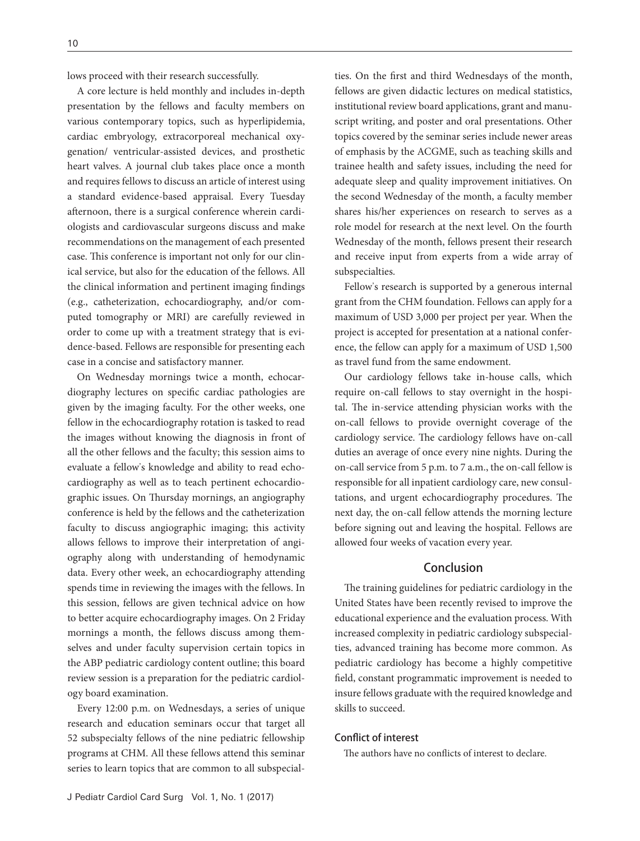lows proceed with their research successfully.

A core lecture is held monthly and includes in-depth presentation by the fellows and faculty members on various contemporary topics, such as hyperlipidemia, cardiac embryology, extracorporeal mechanical oxygenation/ ventricular-assisted devices, and prosthetic heart valves. A journal club takes place once a month and requires fellows to discuss an article of interest using a standard evidence-based appraisal. Every Tuesday afternoon, there is a surgical conference wherein cardiologists and cardiovascular surgeons discuss and make recommendations on the management of each presented case. This conference is important not only for our clinical service, but also for the education of the fellows. All the clinical information and pertinent imaging findings (e.g., catheterization, echocardiography, and/or computed tomography or MRI) are carefully reviewed in order to come up with a treatment strategy that is evidence-based. Fellows are responsible for presenting each case in a concise and satisfactory manner.

On Wednesday mornings twice a month, echocardiography lectures on specific cardiac pathologies are given by the imaging faculty. For the other weeks, one fellow in the echocardiography rotation is tasked to read the images without knowing the diagnosis in front of all the other fellows and the faculty; this session aims to evaluate a fellow's knowledge and ability to read echocardiography as well as to teach pertinent echocardiographic issues. On Thursday mornings, an angiography conference is held by the fellows and the catheterization faculty to discuss angiographic imaging; this activity allows fellows to improve their interpretation of angiography along with understanding of hemodynamic data. Every other week, an echocardiography attending spends time in reviewing the images with the fellows. In this session, fellows are given technical advice on how to better acquire echocardiography images. On 2 Friday mornings a month, the fellows discuss among themselves and under faculty supervision certain topics in the ABP pediatric cardiology content outline; this board review session is a preparation for the pediatric cardiology board examination.

Every 12:00 p.m. on Wednesdays, a series of unique research and education seminars occur that target all 52 subspecialty fellows of the nine pediatric fellowship programs at CHM. All these fellows attend this seminar series to learn topics that are common to all subspecialties. On the first and third Wednesdays of the month, fellows are given didactic lectures on medical statistics, institutional review board applications, grant and manuscript writing, and poster and oral presentations. Other topics covered by the seminar series include newer areas of emphasis by the ACGME, such as teaching skills and trainee health and safety issues, including the need for adequate sleep and quality improvement initiatives. On the second Wednesday of the month, a faculty member shares his/her experiences on research to serves as a role model for research at the next level. On the fourth Wednesday of the month, fellows present their research and receive input from experts from a wide array of subspecialties.

Fellow's research is supported by a generous internal grant from the CHM foundation. Fellows can apply for a maximum of USD 3,000 per project per year. When the project is accepted for presentation at a national conference, the fellow can apply for a maximum of USD 1,500 as travel fund from the same endowment.

Our cardiology fellows take in-house calls, which require on-call fellows to stay overnight in the hospital. The in-service attending physician works with the on-call fellows to provide overnight coverage of the cardiology service. The cardiology fellows have on-call duties an average of once every nine nights. During the on-call service from 5 p.m. to 7 a.m., the on-call fellow is responsible for all inpatient cardiology care, new consultations, and urgent echocardiography procedures. The next day, the on-call fellow attends the morning lecture before signing out and leaving the hospital. Fellows are allowed four weeks of vacation every year.

# Conclusion

The training guidelines for pediatric cardiology in the United States have been recently revised to improve the educational experience and the evaluation process. With increased complexity in pediatric cardiology subspecialties, advanced training has become more common. As pediatric cardiology has become a highly competitive field, constant programmatic improvement is needed to insure fellows graduate with the required knowledge and skills to succeed.

## Conflict of interest

The authors have no conflicts of interest to declare.